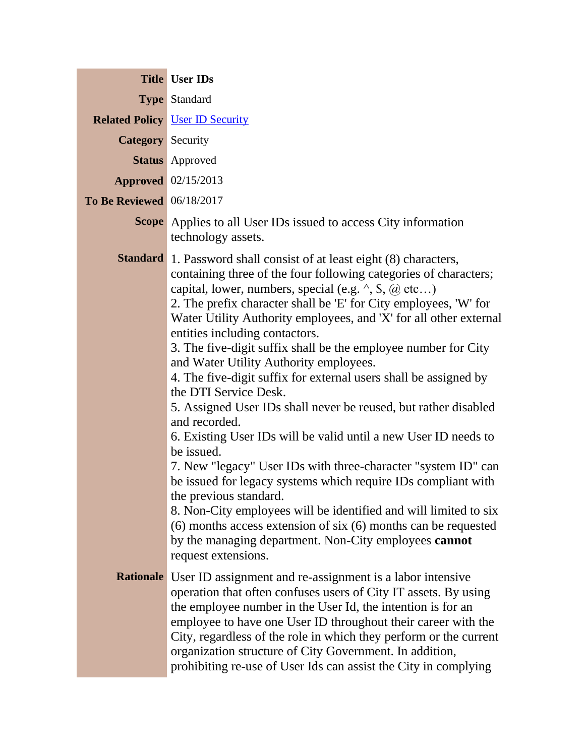|                                  | <b>Title User IDs</b>                                                                                                                                                                                                                                                                                                                                                                                                                                                                                                                                                                                                                                                                                                                                                                                                                                                                                                                                                                                                                                                                                                                                                |
|----------------------------------|----------------------------------------------------------------------------------------------------------------------------------------------------------------------------------------------------------------------------------------------------------------------------------------------------------------------------------------------------------------------------------------------------------------------------------------------------------------------------------------------------------------------------------------------------------------------------------------------------------------------------------------------------------------------------------------------------------------------------------------------------------------------------------------------------------------------------------------------------------------------------------------------------------------------------------------------------------------------------------------------------------------------------------------------------------------------------------------------------------------------------------------------------------------------|
|                                  | <b>Type Standard</b>                                                                                                                                                                                                                                                                                                                                                                                                                                                                                                                                                                                                                                                                                                                                                                                                                                                                                                                                                                                                                                                                                                                                                 |
|                                  | <b>Related Policy User ID Security</b>                                                                                                                                                                                                                                                                                                                                                                                                                                                                                                                                                                                                                                                                                                                                                                                                                                                                                                                                                                                                                                                                                                                               |
| <b>Category</b> Security         |                                                                                                                                                                                                                                                                                                                                                                                                                                                                                                                                                                                                                                                                                                                                                                                                                                                                                                                                                                                                                                                                                                                                                                      |
|                                  | <b>Status</b> Approved                                                                                                                                                                                                                                                                                                                                                                                                                                                                                                                                                                                                                                                                                                                                                                                                                                                                                                                                                                                                                                                                                                                                               |
|                                  | <b>Approved</b> 02/15/2013                                                                                                                                                                                                                                                                                                                                                                                                                                                                                                                                                                                                                                                                                                                                                                                                                                                                                                                                                                                                                                                                                                                                           |
| <b>To Be Reviewed</b> 06/18/2017 |                                                                                                                                                                                                                                                                                                                                                                                                                                                                                                                                                                                                                                                                                                                                                                                                                                                                                                                                                                                                                                                                                                                                                                      |
|                                  | <b>Scope</b> Applies to all User IDs issued to access City information<br>technology assets.                                                                                                                                                                                                                                                                                                                                                                                                                                                                                                                                                                                                                                                                                                                                                                                                                                                                                                                                                                                                                                                                         |
|                                  | <b>Standard</b> 1. Password shall consist of at least eight (8) characters,<br>containing three of the four following categories of characters;<br>capital, lower, numbers, special (e.g. $\land$ , \$, $\omega$ etc)<br>2. The prefix character shall be 'E' for City employees, 'W' for<br>Water Utility Authority employees, and 'X' for all other external<br>entities including contactors.<br>3. The five-digit suffix shall be the employee number for City<br>and Water Utility Authority employees.<br>4. The five-digit suffix for external users shall be assigned by<br>the DTI Service Desk.<br>5. Assigned User IDs shall never be reused, but rather disabled<br>and recorded.<br>6. Existing User IDs will be valid until a new User ID needs to<br>be issued.<br>7. New "legacy" User IDs with three-character "system ID" can<br>be issued for legacy systems which require IDs compliant with<br>the previous standard.<br>8. Non-City employees will be identified and will limited to six<br>$(6)$ months access extension of six $(6)$ months can be requested<br>by the managing department. Non-City employees cannot<br>request extensions. |
|                                  | <b>Rationale</b> User ID assignment and re-assignment is a labor intensive<br>operation that often confuses users of City IT assets. By using<br>the employee number in the User Id, the intention is for an<br>employee to have one User ID throughout their career with the<br>City, regardless of the role in which they perform or the current<br>organization structure of City Government. In addition,<br>prohibiting re-use of User Ids can assist the City in complying                                                                                                                                                                                                                                                                                                                                                                                                                                                                                                                                                                                                                                                                                     |